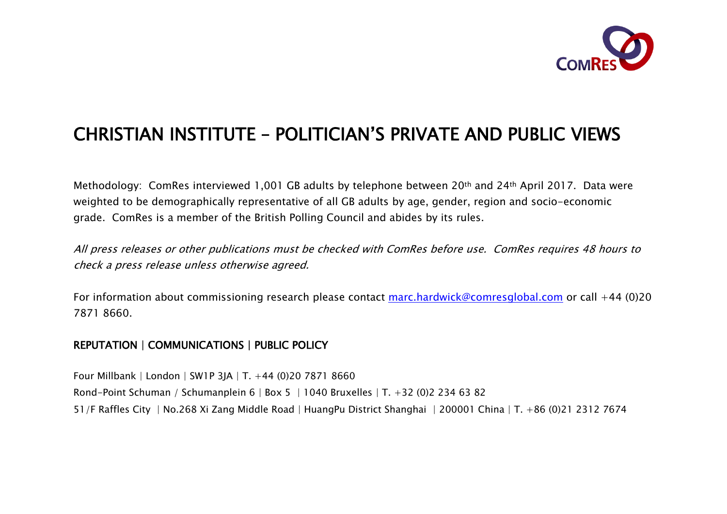

# CHRISTIAN INSTITUTE – POLITICIAN'S PRIVATE AND PUBLIC VIEWS

Methodology: ComRes interviewed 1,001 GB adults by telephone between 20th and 24th April 2017. Data were weighted to be demographically representative of all GB adults by age, gender, region and socio-economic grade. ComRes is a member of the British Polling Council and abides by its rules.

All press releases or other publications must be checked with ComRes before use. ComRes requires 48 hours to check a press release unless otherwise agreed.

For information about commissioning research please contact marc.hardwick@comresglobal.com or call +44 (0)20 7871 8660.

#### REPUTATION | COMMUNICATIONS | PUBLIC POLICY

Four Millbank | London | SW1P 3JA | T. +44 (0)20 7871 8660 Rond-Point Schuman / Schumanplein 6 | Box 5 | 1040 Bruxelles | T. +32 (0)2 234 63 82 51/F Raffles City | No.268 Xi Zang Middle Road | HuangPu District Shanghai | 200001 China | T. +86 (0)21 2312 7674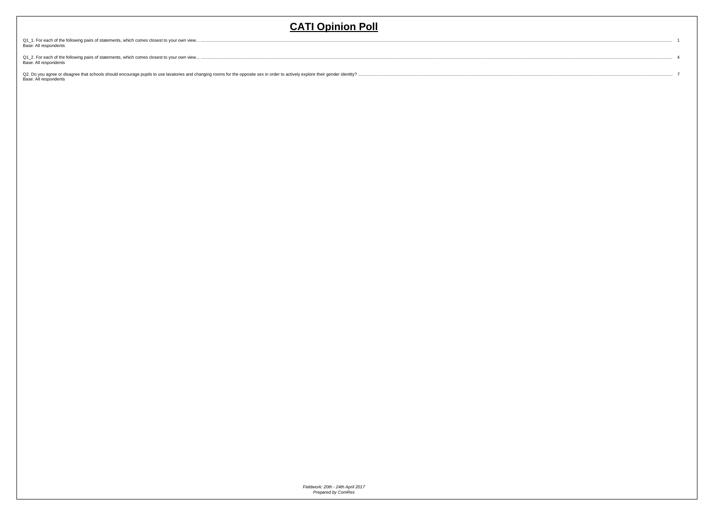$\therefore$  1

 $\cdots$  4

 $\cdots$  7

Q1\_1. For each of the following pairs of statements, which comes closest to your own view... ...<br>Base: All respondents

Q1\_2. For each of the following pairs of statements, which comes closest to your own view... ........<br>Base: All respondents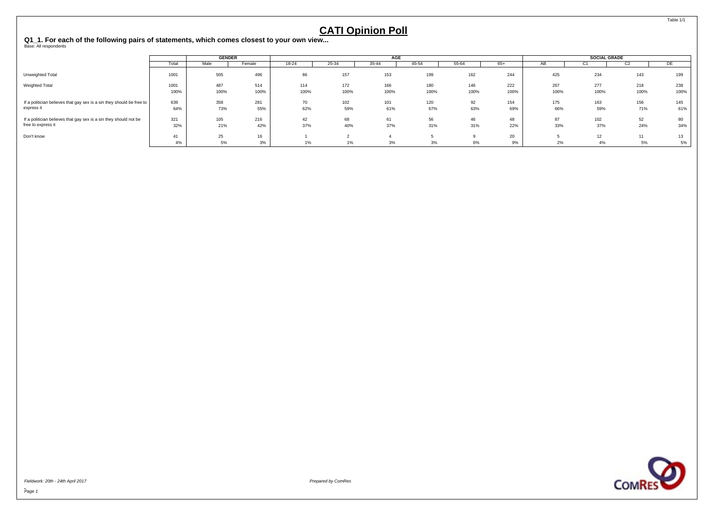<span id="page-2-0"></span>**Q1\_1. For each of the following pairs of statements, which comes closest to your own view...** Base: All respondents

|                                                                                         |            |            | <b>GENDER</b> |           |            | AGE        |            |           |            |            | <b>SOCIAL GRADE</b> |            |            |
|-----------------------------------------------------------------------------------------|------------|------------|---------------|-----------|------------|------------|------------|-----------|------------|------------|---------------------|------------|------------|
|                                                                                         | Total      | Male       | Female        | 18-24     | 25-34      | 35-44      | 45-54      | 55-64     | 65+        | AЬ         | ◡                   | GZ.        | DE         |
| Unweighted Total                                                                        | 1001       | 505        | 496           | 86        | 157        | 153        | 199        | 162       | 244        | 425        | 234                 | 143        | 199        |
| Weighted Total                                                                          | 1001       | 487        | 514           | 114       | 172        | 166        | 180        | 146       | 222        | 267        | 277                 | 218        | 238        |
|                                                                                         | 100%       | 100%       | 100%          | 100%      | 100%       | 100%       | 100%       | 100%      | 100%       | 100%       | 100%                | 100%       | 100%       |
| If a politician believes that gay sex is a sin they should be free to<br>express it     | 639<br>64% | 358<br>73% | 281<br>55%    | 70<br>62% | 102<br>59% | 101<br>61% | 120<br>67% | 92<br>63% | 154<br>69% | 175<br>66% | 163<br>59%          | 156<br>71% | 145<br>61% |
| If a politician believes that gay sex is a sin they should not be<br>free to express it | 321<br>32% | 105<br>21% | 216<br>42%    | 42<br>37% | 68<br>40%  | 61<br>37%  | 56<br>31%  | 46<br>31% | 48<br>22%  | 87<br>33%  | 102<br>37%          | 52<br>24%  | 80<br>34%  |
| Don't know                                                                              | 41<br>4%   | 25<br>5%   | 16<br>3%      | 1%        | 1%         | 3%         | 3%         | 6%        | 20<br>9%   | 2%         | 12<br>4%            | 5%         | 13<br>5%   |



Fieldwork: 20th - 24th April 2017 Prepared by ComRes

Table 1/1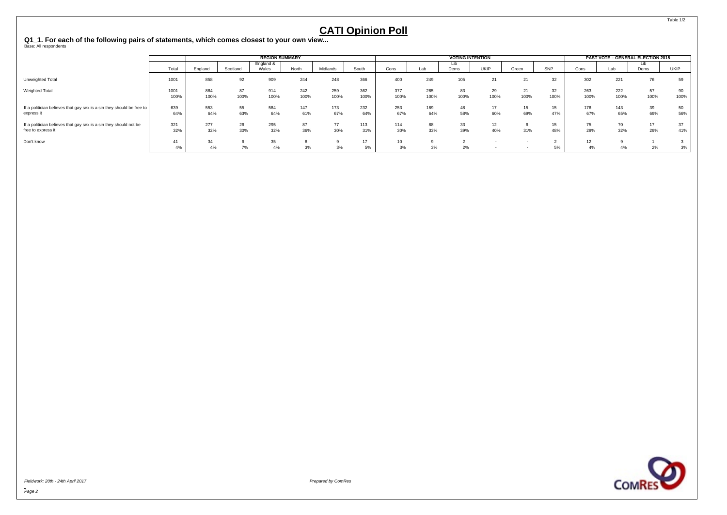**Q1\_1. For each of the following pairs of statements, which comes closest to your own view...** Base: All respondents

|                                                                                         |              |             |            | <b>REGION SUMMARY</b> |             |             |             |             |             | <b>VOTING INTENTION</b> |             |            |            |                                    |             | PAST VOTE - GENERAL ELECTION 2015 |            |
|-----------------------------------------------------------------------------------------|--------------|-------------|------------|-----------------------|-------------|-------------|-------------|-------------|-------------|-------------------------|-------------|------------|------------|------------------------------------|-------------|-----------------------------------|------------|
|                                                                                         | Total        | England     | Scotland   | England &<br>Wales    | North       | Midlands    | South       | Cons        | Lab         | Lib<br>Dems             | <b>UKIP</b> | Green      | SNP        | Cons                               | Lab         | Dems                              | UKIP       |
| Unweighted Total                                                                        | 1001         | 858         | 92         | 909                   | 244         | 248         | 366         | 400         | 249         | 105                     | 21          | 21         | 32         | 302                                | 221         | 76                                | 59         |
| <b>Weighted Total</b>                                                                   | 1001<br>100% | 864<br>100% | 87<br>100% | 914<br>100%           | 242<br>100% | 259<br>100% | 362<br>100% | 377<br>100% | 265<br>100% | 100%                    | 29<br>100%  | 21<br>100% | 32<br>100% | 263<br>100%                        | 222<br>100% | 57<br>100%                        | 90<br>100% |
| If a politician believes that gay sex is a sin they should be free to<br>express it     | 639<br>64%   | 553<br>64%  | 55<br>63%  | 584<br>64%            | 147<br>61%  | 173<br>67%  | 232<br>64%  | 253<br>67%  | 169<br>64%  | 48<br>58%               | 17<br>60%   | 15<br>69%  | 15<br>47%  | 176<br>67%                         | 143<br>65%  | 39<br>69%                         | 50<br>56%  |
| If a politician believes that gay sex is a sin they should not be<br>free to express it | 321<br>32%   | 277<br>32%  | 26<br>30%  | 295<br>32%            | 87<br>36%   | 77<br>30%   | 113<br>31%  | 114<br>30%  | 88<br>33%   | 33<br>39%               | 12<br>40%   | 31%        | 15<br>48%  | $\rightarrow$<br>$\sqrt{5}$<br>29% | 70<br>32%   | 17<br>29%                         | 37<br>41%  |
| Don't know                                                                              | 41<br>4%     | 34<br>4%    | 7%         | 35<br>4%              | 3%          | 3%          | 17<br>5%    | 3%          | 3%          | 2%                      |             |            | 5%         | 4%                                 | 4%          | 2%                                | 3%         |



-<br>Page 2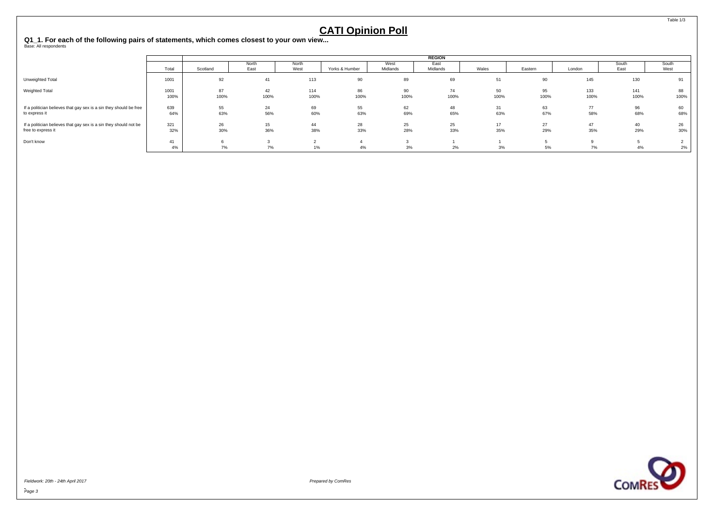**Q1\_1. For each of the following pairs of statements, which comes closest to your own view...** Base: All respondents

|                                                                    |       |          |       |       |                |          | <b>REGION</b> |       |         |        |       |       |
|--------------------------------------------------------------------|-------|----------|-------|-------|----------------|----------|---------------|-------|---------|--------|-------|-------|
|                                                                    |       |          | North | North |                | West     | East          |       |         |        | South | South |
|                                                                    | Total | Scotland | East  | West  | Yorks & Humber | Midlands | Midlands      | Wales | Eastern | London | East  | West  |
| Unweighted Total                                                   | 1001  | 92       | 41    | 113   | 90             | 89       | 69            |       | 90      | 145    | 130   |       |
| Weighted Total                                                     | 1001  | 87       | 42    | 114   | 86             | 90       | 74            | 50    | 95      | 133    | 141   | 88    |
|                                                                    | 100%  | 100%     | 100%  | 100%  | 100%           | 100%     | 100%          | 100%  | 100%    | 100%   | 100%  | 100%  |
| If a politician believes that gay sex is a sin they should be free | 639   | 55       | 24    | 69    | 55             | 62       | 48            |       | 63      | 77     | 96    | 60    |
| to express it                                                      | 64%   | 63%      | 56%   | 60%   | 63%            | 69%      | 65%           | 63%   | 67%     | 58%    | 68%   | 68%   |
| If a politician believes that gay sex is a sin they should not be  | 321   | 26       | 15    | 44    | 28             | 25       | 25            | 17    | 27      | 47     | 40    | 26    |
| free to express it                                                 | 32%   | 30%      | 36%   | 38%   | 33%            | 28%      | 33%           | 35%   | 29%     | 35%    | 29%   | 30%   |
| Don't know                                                         | 41    |          |       |       |                |          |               |       |         |        |       |       |
|                                                                    | 4%    | 7%       | 7%    | 1%    | 4%             | 3%       | 2%            | 3%    | 5%      | 7%     | 4%    | 2%    |



-<br>Page 3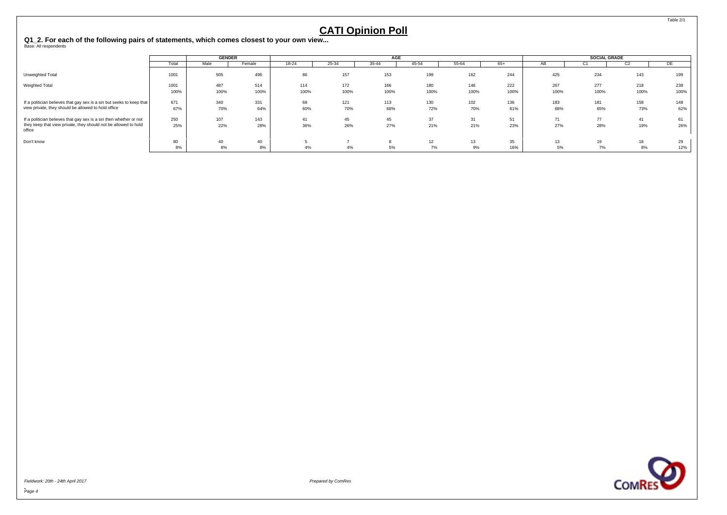#### <span id="page-5-0"></span>**Q1\_2. For each of the following pairs of statements, which comes closest to your own view...** Base: All respondents

|                                                                                                                                                 |              | <b>GENDER</b> |             |             |             | <b>AGE</b>  |             |             |             |             | SOCIAL GRADE |                |             |
|-------------------------------------------------------------------------------------------------------------------------------------------------|--------------|---------------|-------------|-------------|-------------|-------------|-------------|-------------|-------------|-------------|--------------|----------------|-------------|
|                                                                                                                                                 | Total        | Male          | Female      | $18 - 24$   | 25-34       | $35 - 44$   | 45-54       | 55-64       | $65+$       | ΑВ          | ◡            | C <sub>2</sub> | DE          |
| Unweighted Total                                                                                                                                | 1001         | 505           | 496         | 86          | 157         | 153         | 199         | 162         | 244         | 425         | 234          | 143            | 199         |
| <b>Weighted Total</b>                                                                                                                           | 1001<br>100% | 487<br>100%   | 514<br>100% | 114<br>100% | 172<br>100% | 166<br>100% | 180<br>100% | 146<br>100% | 222<br>100% | 267<br>100% | 277<br>100%  | 218<br>100%    | 238<br>100% |
| If a politician believes that gay sex is a sin but seeks to keep that<br>view private, they should be allowed to hold office                    | 671<br>67%   | 340<br>70%    | 331<br>64%  | 68<br>60%   | 121<br>70%  | 113<br>68%  | 130<br>72%  | 102<br>70%  | 136<br>61%  | 183<br>68%  | 181<br>65%   | 158<br>73%     | 148<br>62%  |
| If a politician believes that gay sex is a sin then whether or not<br>they keep that view private, they should not be allowed to hold<br>office | 250<br>25%   | 107<br>22%    | 143<br>28%  | 41<br>36%   | 45<br>26%   | 45<br>27%   | 37<br>21%   | 31<br>21%   | 51<br>23%   | 71<br>27%   | 77<br>28%    | 41<br>19%      | 61<br>26%   |
| Don't know                                                                                                                                      | 80<br>8%     | 40<br>8%      | 40<br>8%    | 4%          | 4%          | 5%          | 12<br>7%    | 13<br>9%    | 35<br>16%   | 13<br>5%    | 19<br>7%     | 18<br>8%       | 29<br>12%   |



Fieldwork: 20th - 24th April 2017 Prepared by ComRes

Table 2/1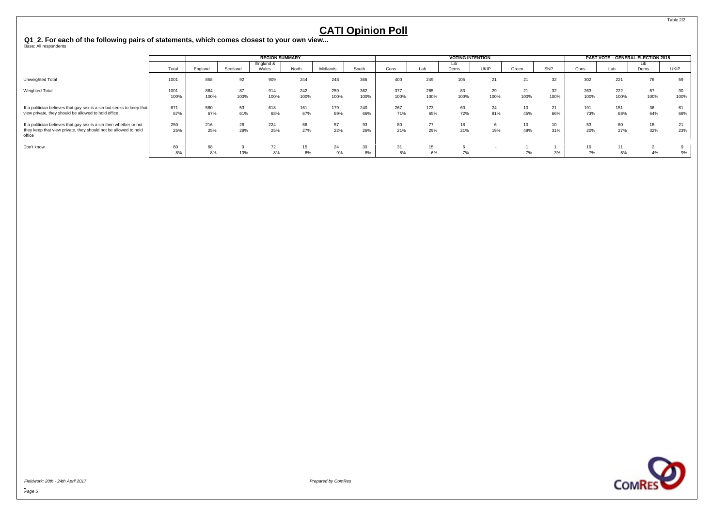**Q1\_2. For each of the following pairs of statements, which comes closest to your own view...** Base: All respondents

|                                                                                                                                                 |              |             |            | <b>REGION SUMMARY</b> |             |             |             |              |             | <b>VOTING INTENTION</b> |             |           |            |             |             | PAST VOTE - GENERAL ELECTION 2015 |            |
|-------------------------------------------------------------------------------------------------------------------------------------------------|--------------|-------------|------------|-----------------------|-------------|-------------|-------------|--------------|-------------|-------------------------|-------------|-----------|------------|-------------|-------------|-----------------------------------|------------|
|                                                                                                                                                 | Total        | England     | Scotland   | England &<br>Wales    | North       | Midlands    | South       | Cons         | Lab         | Lıb<br>Dems             | <b>UKIP</b> | Green     | SNP        | Cons        | Lab         | Dems                              | UKIP       |
| Unweighted Total                                                                                                                                | 1001         | 858         | 92         | 909                   | 244         | 248         | 366         | 400          | 249         | 105                     | 21          |           | 32         | 302         | 221         | 76                                | 59         |
| <b>Weighted Total</b>                                                                                                                           | 1001<br>100% | 864<br>100% | 87<br>100% | 914<br>100%           | 242<br>100% | 259<br>100% | 362<br>100% | 377<br>100%  | 265<br>100% | 100%                    | 29<br>100%  | ∠<br>100% | 32<br>100% | 263<br>100% | 222<br>100% | 57<br>100%                        | 90<br>100% |
| If a politician believes that gay sex is a sin but seeks to keep that<br>view private, they should be allowed to hold office                    | 671<br>67%   | 580<br>67%  | 53<br>61%  | 618<br>68%            | 161<br>67%  | 179<br>69%  | 240<br>66%  | 267<br>71%   | 173<br>65%  | 60<br>72%               | 24<br>81%   | 10<br>45% | 21<br>66%  | 191<br>73%  | 151<br>68%  | 36<br>64%                         | 61<br>68%  |
| If a politician believes that gay sex is a sin then whether or not<br>they keep that view private, they should not be allowed to hold<br>office | 250<br>25%   | 216<br>25%  | 26<br>29%  | 224<br>25%            | 66<br>27%   | 57<br>22%   | 93<br>26%   | 80<br>21%    | 77<br>29%   | 21%                     | 19%         | 10<br>48% | 10<br>31%  | 20%         | 60<br>27%   | 18<br>32%                         | 21<br>23%  |
| Don't know                                                                                                                                      | 80<br>8%     | 68<br>8%    | 10%        | 72<br>8%              | 15<br>6%    | 24<br>9%    | 30<br>8%    | $\sim$<br>8% | 15<br>6%    | 7%                      |             | 7%        | 3%         | 7%          | A<br>5%     | 4%                                | 9%         |



Fieldwork: 20th - 24th April 2017 Prepared by ComRes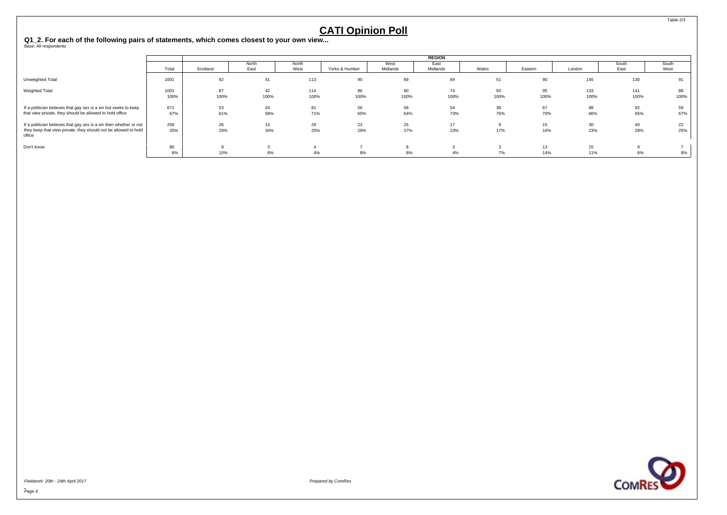**Q1\_2. For each of the following pairs of statements, which comes closest to your own view...** Base: All respondents

|                                                                           |       |          |       |       |                |          | <b>REGION</b> |       |         |        |       |       |
|---------------------------------------------------------------------------|-------|----------|-------|-------|----------------|----------|---------------|-------|---------|--------|-------|-------|
|                                                                           |       |          | North | North |                | West     | East          |       |         |        | South | South |
|                                                                           | Total | Scotland | East  | West  | Yorks & Humber | Midlands | Midlands      | Wales | Eastern | London | East  | West  |
| Unweighted Total                                                          | 1001  | 92       | 41    | 113   | 90             | 89       | 69            | 51    | 90      | 145    | 130   | 91    |
| <b>Weighted Total</b>                                                     | 1001  | 87       | 42    | 114   | 86             | 90       | 74            | 50    | 95      | 133    | 141   | 88    |
|                                                                           | 100%  | 100%     | 100%  | 100%  | 100%           | 100%     | 100%          | 100%  | 100%    | 100%   | 100%  | 100%  |
| If a politician believes that gay sex is a sin but seeks to keep          | 671   | 53       | 24    | 81    | 56             | 58       | 54            | 38    | 67      | 88     | 92    | 59    |
| that view private, they should be allowed to hold office                  | 67%   | 61%      | 58%   | 71%   | 65%            | 64%      | 73%           | 76%   | 70%     | 66%    | 65%   | 67%   |
| If a politician believes that gay sex is a sin then whether or not        | 250   | 26       | 14    | 29    | 23             | 25       | 17            |       | 15      | 30     | 40    | 22    |
| they keep that view private, they should not be allowed to hold<br>office | 25%   | 29%      | 34%   | 25%   | 26%            | 27%      | 23%           | 17%   | 16%     | 23%    | 28%   | 25%   |
| Don't know                                                                | 80    |          |       |       |                |          |               |       | 13      | 15     |       |       |
|                                                                           |       | 10%      | 8%    | 4%    | 8%             |          | 4%            | 7%    | 14%     | 11%    | 6%    | 8%    |



Fieldwork: 20th - 24th April 2017 Prepared by ComRes

Table 2/3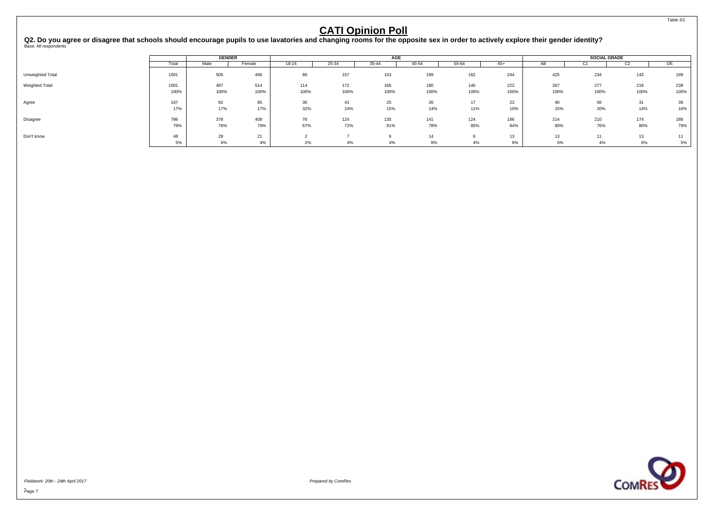<span id="page-8-0"></span>Q2. Do you agree or disagree that schools should encourage pupils to use lavatories and changing rooms for the opposite sex in order to actively explore their gender identity?<br><sup>Base: All respondents</sup>

|                  |            | <b>GENDER</b> |            |           |            | AGE        |            |            |            |            | <b>SOCIAL GRADE</b> |                |            |
|------------------|------------|---------------|------------|-----------|------------|------------|------------|------------|------------|------------|---------------------|----------------|------------|
|                  | Total      | Male          | Female     | $18 - 24$ | $25 - 34$  | 35-44      | 45-54      | 55-64      | $65+$      | AB         | ◡                   | C <sub>2</sub> | DE         |
| Unweighted Total | 1001       | 505           | 496        | 86        | 157        | 153        | 199        | 162        | 244        | 425        | 234                 | 143            | 199        |
| Weighted Total   | 1001       | 487           | 514        | 114       | 172        | 166        | 180        | 146        | 222        | 267        | 277                 | 218            | 238        |
|                  | 100%       | 100%          | 100%       | 100%      | 100%       | 100%       | 100%       | 100%       | 100%       | 100%       | 100%                | 100%           | 100%       |
| Agree            | 167<br>17% | 82<br>17%     | 85<br>17%  | 36<br>32% | 41<br>24%  | 25<br>15%  | 26<br>14%  | 17<br>11%  | 22<br>10%  | 40<br>15%  | 56<br>20%           | 31<br>14%      | 39<br>16%  |
| Disagree         | 786<br>79% | 378<br>78%    | 408<br>79% | 76<br>67% | 124<br>72% | 135<br>81% | 141<br>78% | 124<br>85% | 186<br>84% | 214<br>80% | 210<br>76%          | 174<br>80%     | 188<br>79% |
| Don't know       | 48<br>5%   | 28<br>6%      | 21<br>4%   | 2%        | 4%         | 4%         | 14<br>8%   | 4%         | 13<br>6%   | 13<br>5%   | 4%                  | 13<br>6%       | 11<br>5%   |



Fieldwork: 20th - 24th April 2017 Prepared by ComRes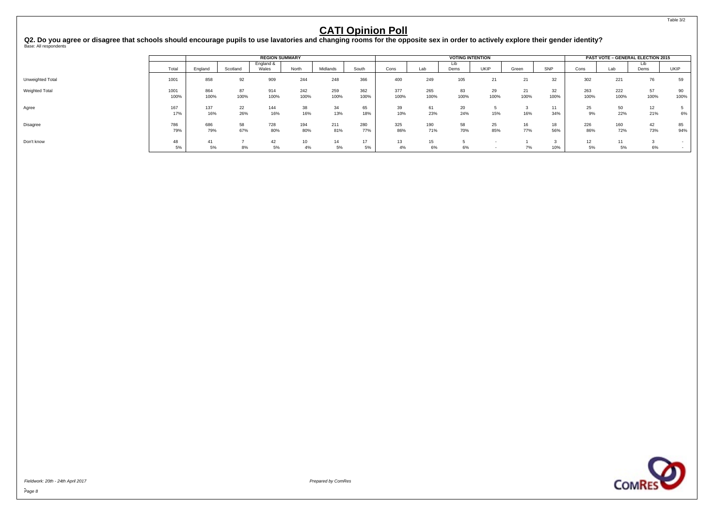Q2. Do you agree or disagree that schools should encourage pupils to use lavatories and changing rooms for the opposite sex in order to actively explore their gender identity?<br><sup>Base: All respondents</sup>

|                  |              |             |            | <b>REGION SUMMARY</b> |                        |             |             |             |                        | <b>VOTING INTENTION</b> |            |            |            |             |             | PAST VOTE - GENERAL ELECTION 2015 |             |
|------------------|--------------|-------------|------------|-----------------------|------------------------|-------------|-------------|-------------|------------------------|-------------------------|------------|------------|------------|-------------|-------------|-----------------------------------|-------------|
|                  | Total        | England     | Scotland   | England &<br>Wales    | North                  | Midlands    | South       | Cons        | Lab                    | Lib<br>Dems             | UKIP       | Green      | SNP        | Cons        | Lab         | Lıb<br>Dems                       | <b>UKIP</b> |
| Unweighted Total | 1001         | 858         | 92         | 909                   | 244                    | 248         | 366         | 400         | 249                    | 105                     | 21         | 21         | 32         | 302         | 221         | 76                                | 59          |
| Weighted Total   | 1001<br>100% | 864<br>100% | 87<br>100% | 914<br>100%           | 242<br>100%            | 259<br>100% | 362<br>100% | 377<br>100% | 265<br>100%            | 83<br>100%              | 29<br>100% | 21<br>100% | 32<br>100% | 263<br>100% | 222<br>100% | 57<br>100%                        | 90<br>100%  |
| Agree            | 167<br>17%   | 137<br>16%  | 22<br>26%  | 144<br>16%            | 38<br>16%              | 34<br>13%   | 65<br>18%   | 39<br>10%   | 61<br>23%              | 20<br>24%               | 15%        | 16%        | 11<br>34%  | 25<br>9%    | 50<br>22%   | 12<br>21%                         | 6%          |
| Disagree         | 786<br>79%   | 686<br>79%  | 58<br>67%  | 728<br>80%            | 194<br>80%             | 211<br>81%  | 280<br>77%  | 325<br>86%  | 190<br>71%             | 58<br>70%               | 25<br>85%  | 77%        | 18<br>56%  | 226<br>86%  | 160<br>72%  | 42<br>73%                         | 85<br>94%   |
| Don't know       | 48<br>5%     | 41<br>5%    | 8%         | 42<br>5%              | 10 <sup>10</sup><br>4% | 14<br>5%    | $-1$<br>5%  | 13<br>4%    | 15 <sup>15</sup><br>6% | 6%                      |            | 7%         | 10%        | 12<br>5%    | 11<br>5%    | 6%                                |             |



Fieldwork: 20th - 24th April 2017 Prepared by ComRes

Table 3/2